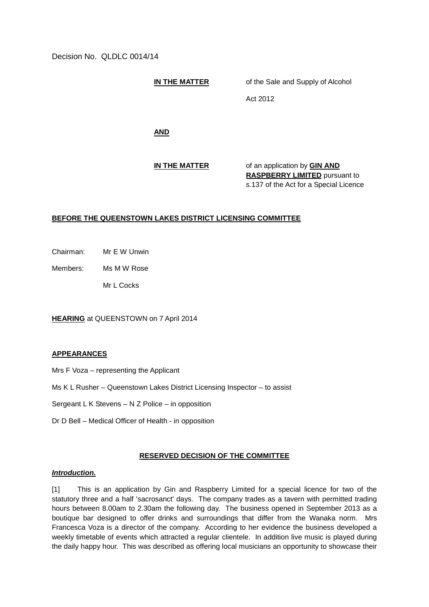Decision No. QLDLC 0014/14

**IN THE MATTER** of the Sale and Supply of Alcohol

Act 2012

**AND**

**IN THE MATTER** of an application by **GIN AND RASPBERRY LIMITED** pursuant to s.137 of the Act for a Special Licence

## **BEFORE THE QUEENSTOWN LAKES DISTRICT LICENSING COMMITTEE**

Chairman: Mr E W Unwin

Members: Ms M W Rose

Mr L Cocks

**HEARING** at QUEENSTOWN on 7 April 2014

#### **APPEARANCES**

Mrs F Voza – representing the Applicant

- Ms K L Rusher Queenstown Lakes District Licensing Inspector to assist
- Sergeant L K Stevens N Z Police in opposition
- Dr D Bell Medical Officer of Health in opposition

#### **RESERVED DECISION OF THE COMMITTEE**

# *Introduction.*

[1] This is an application by Gin and Raspberry Limited for a special licence for two of the statutory three and a half 'sacrosanct' days. The company trades as a tavern with permitted trading hours between 8.00am to 2.30am the following day. The business opened in September 2013 as a boutique bar designed to offer drinks and surroundings that differ from the Wanaka norm. Mrs Francesca Voza is a director of the company. According to her evidence the business developed a weekly timetable of events which attracted a regular clientele. In addition live music is played during the daily happy hour. This was described as offering local musicians an opportunity to showcase their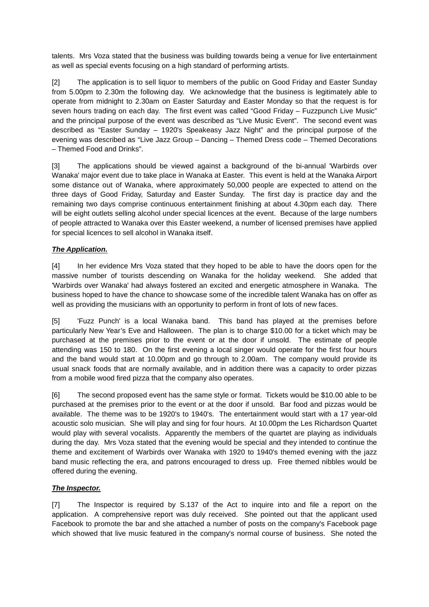talents. Mrs Voza stated that the business was building towards being a venue for live entertainment as well as special events focusing on a high standard of performing artists.

[2] The application is to sell liquor to members of the public on Good Friday and Easter Sunday from 5.00pm to 2.30m the following day. We acknowledge that the business is legitimately able to operate from midnight to 2.30am on Easter Saturday and Easter Monday so that the request is for seven hours trading on each day. The first event was called "Good Friday – Fuzzpunch Live Music" and the principal purpose of the event was described as "Live Music Event". The second event was described as "Easter Sunday – 1920's Speakeasy Jazz Night" and the principal purpose of the evening was described as "Live Jazz Group – Dancing – Themed Dress code – Themed Decorations – Themed Food and Drinks".

[3] The applications should be viewed against a background of the bi-annual 'Warbirds over Wanaka' major event due to take place in Wanaka at Easter. This event is held at the Wanaka Airport some distance out of Wanaka, where approximately 50,000 people are expected to attend on the three days of Good Friday, Saturday and Easter Sunday. The first day is practice day and the remaining two days comprise continuous entertainment finishing at about 4.30pm each day. There will be eight outlets selling alcohol under special licences at the event. Because of the large numbers of people attracted to Wanaka over this Easter weekend, a number of licensed premises have applied for special licences to sell alcohol in Wanaka itself.

# *The Application.*

[4] In her evidence Mrs Voza stated that they hoped to be able to have the doors open for the massive number of tourists descending on Wanaka for the holiday weekend. She added that 'Warbirds over Wanaka' had always fostered an excited and energetic atmosphere in Wanaka. The business hoped to have the chance to showcase some of the incredible talent Wanaka has on offer as well as providing the musicians with an opportunity to perform in front of lots of new faces.

[5] 'Fuzz Punch' is a local Wanaka band. This band has played at the premises before particularly New Year's Eve and Halloween. The plan is to charge \$10.00 for a ticket which may be purchased at the premises prior to the event or at the door if unsold. The estimate of people attending was 150 to 180. On the first evening a local singer would operate for the first four hours and the band would start at 10.00pm and go through to 2.00am. The company would provide its usual snack foods that are normally available, and in addition there was a capacity to order pizzas from a mobile wood fired pizza that the company also operates.

[6] The second proposed event has the same style or format. Tickets would be \$10.00 able to be purchased at the premises prior to the event or at the door if unsold. Bar food and pizzas would be available. The theme was to be 1920's to 1940's. The entertainment would start with a 17 year-old acoustic solo musician. She will play and sing for four hours. At 10.00pm the Les Richardson Quartet would play with several vocalists. Apparently the members of the quartet are playing as individuals during the day. Mrs Voza stated that the evening would be special and they intended to continue the theme and excitement of Warbirds over Wanaka with 1920 to 1940's themed evening with the jazz band music reflecting the era, and patrons encouraged to dress up. Free themed nibbles would be offered during the evening.

#### *The Inspector.*

[7] The Inspector is required by S.137 of the Act to inquire into and file a report on the application. A comprehensive report was duly received. She pointed out that the applicant used Facebook to promote the bar and she attached a number of posts on the company's Facebook page which showed that live music featured in the company's normal course of business. She noted the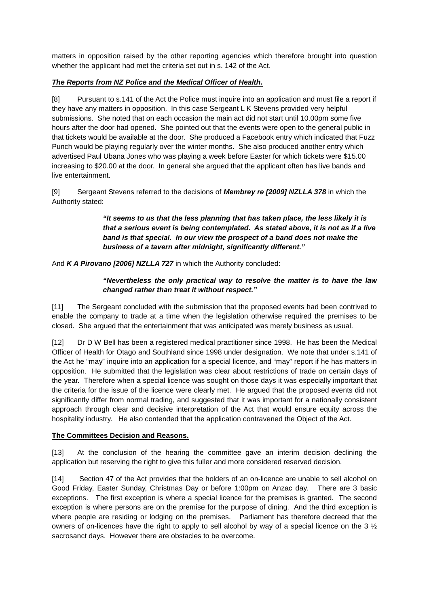matters in opposition raised by the other reporting agencies which therefore brought into question whether the applicant had met the criteria set out in s. 142 of the Act.

### *The Reports from NZ Police and the Medical Officer of Health.*

[8] Pursuant to s.141 of the Act the Police must inquire into an application and must file a report if they have any matters in opposition. In this case Sergeant L K Stevens provided very helpful submissions. She noted that on each occasion the main act did not start until 10.00pm some five hours after the door had opened. She pointed out that the events were open to the general public in that tickets would be available at the door. She produced a Facebook entry which indicated that Fuzz Punch would be playing regularly over the winter months. She also produced another entry which advertised Paul Ubana Jones who was playing a week before Easter for which tickets were \$15.00 increasing to \$20.00 at the door. In general she argued that the applicant often has live bands and live entertainment.

[9] Sergeant Stevens referred to the decisions of *Membrey re [2009] NZLLA 378* in which the Authority stated:

> *"It seems to us that the less planning that has taken place, the less likely it is that a serious event is being contemplated. As stated above, it is not as if a live band is that special. In our view the prospect of a band does not make the business of a tavern after midnight, significantly different."*

And *K A Pirovano [2006] NZLLA 727* in which the Authority concluded:

## *"Nevertheless the only practical way to resolve the matter is to have the law changed rather than treat it without respect."*

[11] The Sergeant concluded with the submission that the proposed events had been contrived to enable the company to trade at a time when the legislation otherwise required the premises to be closed. She argued that the entertainment that was anticipated was merely business as usual.

[12] Dr D W Bell has been a registered medical practitioner since 1998. He has been the Medical Officer of Health for Otago and Southland since 1998 under designation. We note that under s.141 of the Act he "may" inquire into an application for a special licence, and "may" report if he has matters in opposition. He submitted that the legislation was clear about restrictions of trade on certain days of the year. Therefore when a special licence was sought on those days it was especially important that the criteria for the issue of the licence were clearly met. He argued that the proposed events did not significantly differ from normal trading, and suggested that it was important for a nationally consistent approach through clear and decisive interpretation of the Act that would ensure equity across the hospitality industry. He also contended that the application contravened the Object of the Act.

#### **The Committees Decision and Reasons.**

[13] At the conclusion of the hearing the committee gave an interim decision declining the application but reserving the right to give this fuller and more considered reserved decision.

[14] Section 47 of the Act provides that the holders of an on-licence are unable to sell alcohol on Good Friday, Easter Sunday, Christmas Day or before 1:00pm on Anzac day. There are 3 basic exceptions. The first exception is where a special licence for the premises is granted. The second exception is where persons are on the premise for the purpose of dining. And the third exception is where people are residing or lodging on the premises. Parliament has therefore decreed that the owners of on-licences have the right to apply to sell alcohol by way of a special licence on the 3 ½ sacrosanct days. However there are obstacles to be overcome.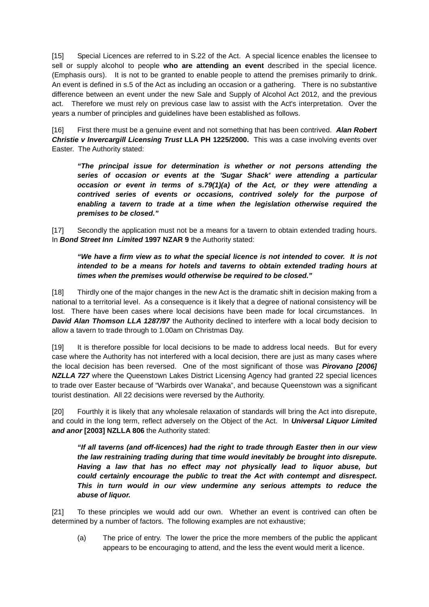[15] Special Licences are referred to in S.22 of the Act. A special licence enables the licensee to sell or supply alcohol to people **who are attending an event** described in the special licence. (Emphasis ours). It is not to be granted to enable people to attend the premises primarily to drink. An event is defined in s.5 of the Act as including an occasion or a gathering. There is no substantive difference between an event under the new Sale and Supply of Alcohol Act 2012, and the previous act. Therefore we must rely on previous case law to assist with the Act's interpretation. Over the years a number of principles and guidelines have been established as follows.

[16] First there must be a genuine event and not something that has been contrived. *Alan Robert Christie v Invercargill Licensing Trust* **LLA PH 1225/2000.** This was a case involving events over Easter. The Authority stated:

*"The principal issue for determination is whether or not persons attending the series of occasion or events at the 'Sugar Shack' were attending a particular occasion or event in terms of s.79(1)(a) of the Act, or they were attending a contrived series of events or occasions, contrived solely for the purpose of enabling a tavern to trade at a time when the legislation otherwise required the premises to be closed."*

[17] Secondly the application must not be a means for a tavern to obtain extended trading hours. In *Bond Street Inn Limited* **1997 NZAR 9** the Authority stated:

## *"We have a firm view as to what the special licence is not intended to cover. It is not intended to be a means for hotels and taverns to obtain extended trading hours at times when the premises would otherwise be required to be closed."*

[18] Thirdly one of the major changes in the new Act is the dramatic shift in decision making from a national to a territorial level. As a consequence is it likely that a degree of national consistency will be lost. There have been cases where local decisions have been made for local circumstances. In **David Alan Thomson LLA 1287/97** the Authority declined to interfere with a local body decision to allow a tavern to trade through to 1.00am on Christmas Day.

[19] It is therefore possible for local decisions to be made to address local needs. But for every case where the Authority has not interfered with a local decision, there are just as many cases where the local decision has been reversed. One of the most significant of those was *Pirovano [2006]*  **NZLLA 727** where the Queenstown Lakes District Licensing Agency had granted 22 special licences to trade over Easter because of "Warbirds over Wanaka", and because Queenstown was a significant tourist destination. All 22 decisions were reversed by the Authority.

[20] Fourthly it is likely that any wholesale relaxation of standards will bring the Act into disrepute, and could in the long term, reflect adversely on the Object of the Act. In *Universal Liquor Limited and anor* **[2003] NZLLA 806** the Authority stated:

*"If all taverns (and off-licences) had the right to trade through Easter then in our view the law restraining trading during that time would inevitably be brought into disrepute. Having a law that has no effect may not physically lead to liquor abuse, but could certainly encourage the public to treat the Act with contempt and disrespect. This in turn would in our view undermine any serious attempts to reduce the abuse of liquor.*

[21] To these principles we would add our own. Whether an event is contrived can often be determined by a number of factors. The following examples are not exhaustive;

(a) The price of entry. The lower the price the more members of the public the applicant appears to be encouraging to attend, and the less the event would merit a licence.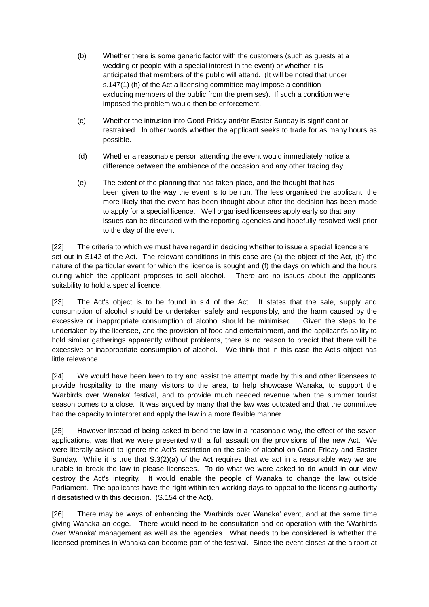- (b) Whether there is some generic factor with the customers (such as guests at a wedding or people with a special interest in the event) or whether it is anticipated that members of the public will attend. (It will be noted that under s.147(1) (h) of the Act a licensing committee may impose a condition excluding members of the public from the premises). If such a condition were imposed the problem would then be enforcement.
- (c) Whether the intrusion into Good Friday and/or Easter Sunday is significant or restrained. In other words whether the applicant seeks to trade for as many hours as possible.
- (d) Whether a reasonable person attending the event would immediately notice a difference between the ambience of the occasion and any other trading day.
- (e) The extent of the planning that has taken place, and the thought that has been given to the way the event is to be run. The less organised the applicant, the more likely that the event has been thought about after the decision has been made to apply for a special licence. Well organised licensees apply early so that any issues can be discussed with the reporting agencies and hopefully resolved well prior to the day of the event.

[22] The criteria to which we must have regard in deciding whether to issue a special licence are set out in S142 of the Act. The relevant conditions in this case are (a) the object of the Act, (b) the nature of the particular event for which the licence is sought and (f) the days on which and the hours during which the applicant proposes to sell alcohol. There are no issues about the applicants' suitability to hold a special licence.

[23] The Act's object is to be found in s.4 of the Act. It states that the sale, supply and consumption of alcohol should be undertaken safely and responsibly, and the harm caused by the excessive or inappropriate consumption of alcohol should be minimised. Given the steps to be undertaken by the licensee, and the provision of food and entertainment, and the applicant's ability to hold similar gatherings apparently without problems, there is no reason to predict that there will be excessive or inappropriate consumption of alcohol. We think that in this case the Act's object has little relevance.

[24] We would have been keen to try and assist the attempt made by this and other licensees to provide hospitality to the many visitors to the area, to help showcase Wanaka, to support the 'Warbirds over Wanaka' festival, and to provide much needed revenue when the summer tourist season comes to a close. It was argued by many that the law was outdated and that the committee had the capacity to interpret and apply the law in a more flexible manner.

[25] However instead of being asked to bend the law in a reasonable way, the effect of the seven applications, was that we were presented with a full assault on the provisions of the new Act. We were literally asked to ignore the Act's restriction on the sale of alcohol on Good Friday and Easter Sunday. While it is true that  $S(2)(a)$  of the Act requires that we act in a reasonable way we are unable to break the law to please licensees. To do what we were asked to do would in our view destroy the Act's integrity. It would enable the people of Wanaka to change the law outside Parliament. The applicants have the right within ten working days to appeal to the licensing authority if dissatisfied with this decision. (S.154 of the Act).

[26] There may be ways of enhancing the 'Warbirds over Wanaka' event, and at the same time giving Wanaka an edge. There would need to be consultation and co-operation with the 'Warbirds over Wanaka' management as well as the agencies. What needs to be considered is whether the licensed premises in Wanaka can become part of the festival. Since the event closes at the airport at